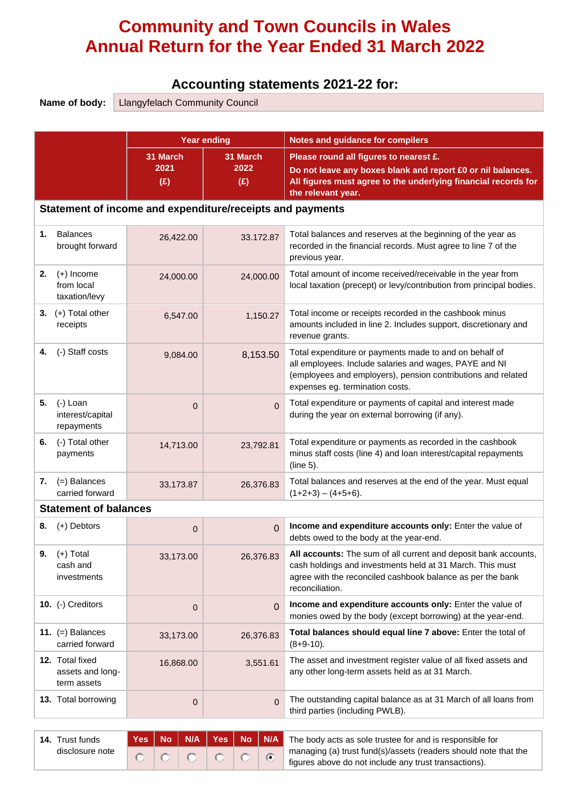# **Community and Town Councils in Wales Annual Return for the Year Ended 31 March 2022**

# **Accounting statements 2021-22 for:**

|    | Name of body:<br><b>Llangyfelach Community Council</b> |             |                                                           |                                                                                                                                                                                                                     |  |  |  |  |  |
|----|--------------------------------------------------------|-------------|-----------------------------------------------------------|---------------------------------------------------------------------------------------------------------------------------------------------------------------------------------------------------------------------|--|--|--|--|--|
|    |                                                        |             |                                                           |                                                                                                                                                                                                                     |  |  |  |  |  |
|    |                                                        |             | <b>Year ending</b>                                        | <b>Notes and guidance for compilers</b>                                                                                                                                                                             |  |  |  |  |  |
|    |                                                        | 31 March    | 31 March                                                  | Please round all figures to nearest £.                                                                                                                                                                              |  |  |  |  |  |
|    |                                                        | 2021<br>(E) | 2022<br>(E)                                               | Do not leave any boxes blank and report £0 or nil balances.<br>All figures must agree to the underlying financial records for<br>the relevant year.                                                                 |  |  |  |  |  |
|    |                                                        |             | Statement of income and expenditure/receipts and payments |                                                                                                                                                                                                                     |  |  |  |  |  |
| 1. | <b>Balances</b><br>brought forward                     | 26,422.00   | 33.172.87                                                 | Total balances and reserves at the beginning of the year as<br>recorded in the financial records. Must agree to line 7 of the<br>previous year.                                                                     |  |  |  |  |  |
| 2. | $(+)$ Income<br>from local<br>taxation/levy            | 24,000.00   | 24,000.00                                                 | Total amount of income received/receivable in the year from<br>local taxation (precept) or levy/contribution from principal bodies.                                                                                 |  |  |  |  |  |
| 3. | (+) Total other<br>receipts                            | 6,547.00    | 1,150.27                                                  | Total income or receipts recorded in the cashbook minus<br>amounts included in line 2. Includes support, discretionary and<br>revenue grants.                                                                       |  |  |  |  |  |
| 4. | (-) Staff costs                                        | 9,084.00    | 8,153.50                                                  | Total expenditure or payments made to and on behalf of<br>all employees. Include salaries and wages, PAYE and NI<br>(employees and employers), pension contributions and related<br>expenses eg. termination costs. |  |  |  |  |  |
| 5. | (-) Loan<br>interest/capital<br>repayments             | $\mathbf 0$ | $\Omega$                                                  | Total expenditure or payments of capital and interest made<br>during the year on external borrowing (if any).                                                                                                       |  |  |  |  |  |
| 6. | (-) Total other<br>payments                            | 14,713.00   | 23,792.81                                                 | Total expenditure or payments as recorded in the cashbook<br>minus staff costs (line 4) and loan interest/capital repayments<br>(line 5).                                                                           |  |  |  |  |  |
| 7. | $(=)$ Balances<br>carried forward                      | 33,173.87   | 26,376.83                                                 | Total balances and reserves at the end of the year. Must equal<br>$(1+2+3) - (4+5+6)$ .                                                                                                                             |  |  |  |  |  |
|    | <b>Statement of balances</b>                           |             |                                                           |                                                                                                                                                                                                                     |  |  |  |  |  |
| 8. | $(+)$ Debtors                                          | $\mathbf 0$ | $\Omega$                                                  | Income and expenditure accounts only: Enter the value of<br>debts owed to the body at the year-end.                                                                                                                 |  |  |  |  |  |
| 9. | $(+)$ Total<br>cash and<br>investments                 | 33,173.00   | 26,376.83                                                 | All accounts: The sum of all current and deposit bank accounts,<br>cash holdings and investments held at 31 March. This must<br>agree with the reconciled cashbook balance as per the bank<br>reconciliation.       |  |  |  |  |  |
|    | 10. (-) Creditors                                      | $\mathbf 0$ | $\Omega$                                                  | Income and expenditure accounts only: Enter the value of<br>monies owed by the body (except borrowing) at the year-end.                                                                                             |  |  |  |  |  |
|    | 11. $(=)$ Balances<br>carried forward                  | 33,173.00   | 26,376.83                                                 | Total balances should equal line 7 above: Enter the total of<br>$(8+9-10)$ .                                                                                                                                        |  |  |  |  |  |
|    | 12. Total fixed<br>assets and long-<br>term assets     | 16,868.00   | 3,551.61                                                  | The asset and investment register value of all fixed assets and<br>any other long-term assets held as at 31 March.                                                                                                  |  |  |  |  |  |
|    | 13. Total borrowing                                    | $\mathbf 0$ | $\Omega$                                                  | The outstanding capital balance as at 31 March of all loans from<br>third parties (including PWLB).                                                                                                                 |  |  |  |  |  |
|    |                                                        |             | $\overline{a}$ $\overline{a}$ $\overline{a}$              |                                                                                                                                                                                                                     |  |  |  |  |  |

| <b>14.</b> Trust funds |  |         |  | Yes   No   N/A   Yes   No   N/A   The body acts as sole trustee for and is responsible for |
|------------------------|--|---------|--|--------------------------------------------------------------------------------------------|
| disclosure note        |  | 1010107 |  | managing (a) trust fund(s)/assets (readers should note that the                            |
|                        |  |         |  | figures above do not include any trust transactions).                                      |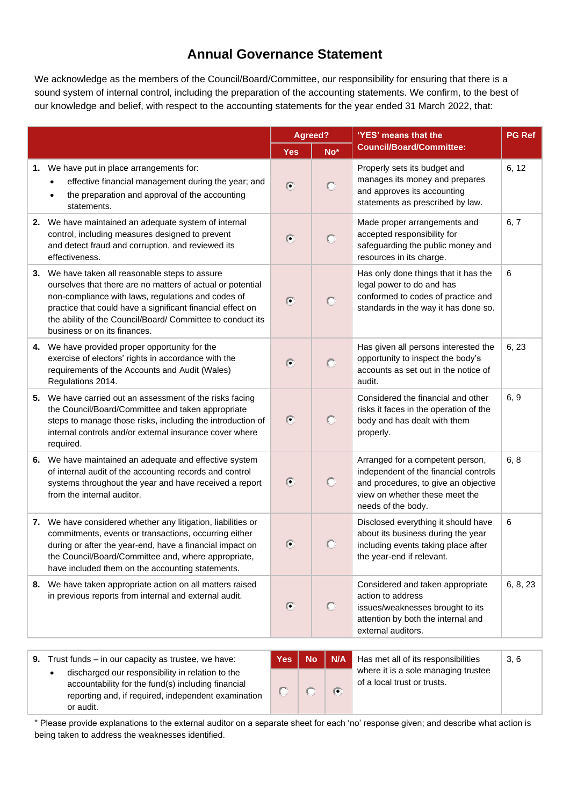### **Annual Governance Statement**

We acknowledge as the members of the Council/Board/Committee, our responsibility for ensuring that there is a sound system of internal control, including the preparation of the accounting statements. We confirm, to the best of our knowledge and belief, with respect to the accounting statements for the year ended 31 March 2022, that:

|    |                                                                                                                                                                                                                                                                                                                              |            | Agreed?          | 'YES' means that the                                                                                                                                                      | <b>PG Ref</b> |  |
|----|------------------------------------------------------------------------------------------------------------------------------------------------------------------------------------------------------------------------------------------------------------------------------------------------------------------------------|------------|------------------|---------------------------------------------------------------------------------------------------------------------------------------------------------------------------|---------------|--|
|    |                                                                                                                                                                                                                                                                                                                              | <b>Yes</b> | $No*$            | <b>Council/Board/Committee:</b>                                                                                                                                           |               |  |
| 1. | We have put in place arrangements for:<br>effective financial management during the year; and<br>the preparation and approval of the accounting<br>$\bullet$<br>statements.                                                                                                                                                  | $\bullet$  | O                | Properly sets its budget and<br>manages its money and prepares<br>and approves its accounting<br>statements as prescribed by law.                                         | 6, 12         |  |
| 2. | We have maintained an adequate system of internal<br>control, including measures designed to prevent<br>and detect fraud and corruption, and reviewed its<br>effectiveness.                                                                                                                                                  | $\odot$    | $\circ$          | Made proper arrangements and<br>accepted responsibility for<br>safeguarding the public money and<br>resources in its charge.                                              | 6,7           |  |
| 3. | We have taken all reasonable steps to assure<br>ourselves that there are no matters of actual or potential<br>non-compliance with laws, regulations and codes of<br>practice that could have a significant financial effect on<br>the ability of the Council/Board/ Committee to conduct its<br>business or on its finances. | $\bullet$  | $\circ$          | Has only done things that it has the<br>legal power to do and has<br>conformed to codes of practice and<br>standards in the way it has done so.                           | 6             |  |
| 4. | We have provided proper opportunity for the<br>exercise of electors' rights in accordance with the<br>requirements of the Accounts and Audit (Wales)<br>Regulations 2014.                                                                                                                                                    | $\odot$    | $\circ$          | Has given all persons interested the<br>opportunity to inspect the body's<br>accounts as set out in the notice of<br>audit.                                               | 6, 23         |  |
| 5. | We have carried out an assessment of the risks facing<br>the Council/Board/Committee and taken appropriate<br>steps to manage those risks, including the introduction of<br>internal controls and/or external insurance cover where<br>required.                                                                             | $\odot$    | $\circ$          | Considered the financial and other<br>risks it faces in the operation of the<br>body and has dealt with them<br>properly.                                                 | 6, 9          |  |
| 6. | We have maintained an adequate and effective system<br>of internal audit of the accounting records and control<br>systems throughout the year and have received a report<br>from the internal auditor.                                                                                                                       | $\odot$    | O                | Arranged for a competent person,<br>independent of the financial controls<br>and procedures, to give an objective<br>view on whether these meet the<br>needs of the body. | 6, 8          |  |
|    | 7. We have considered whether any litigation, liabilities or<br>commitments, events or transactions, occurring either<br>during or after the year-end, have a financial impact on<br>the Council/Board/Committee and, where appropriate,<br>have included them on the accounting statements.                                 | €          | O                | Disclosed everything it should have<br>about its business during the year<br>including events taking place after<br>the year-end if relevant.                             | 6             |  |
|    | 8. We have taken appropriate action on all matters raised<br>in previous reports from internal and external audit.                                                                                                                                                                                                           | €          | O                | Considered and taken appropriate<br>action to address<br>issues/weaknesses brought to its<br>attention by both the internal and<br>external auditors.                     | 6, 8, 23      |  |
|    | 9. Trust funds $-$ in our capacity as trustee, we have:<br>discharged our responsibility in relation to the<br>accountability for the fund(e) including financial                                                                                                                                                            | <b>Yes</b> | N/A<br><b>No</b> | Has met all of its responsibilities<br>where it is a sole managing trustee<br>of a local trust or trusts.                                                                 | 3, 6          |  |

accountability for the fund(s) including financial reporting and, if required, independent examination or audit.

of a local trust or trusts.

\* Please provide explanations to the external auditor on a separate sheet for each 'no' response given; and describe what action is being taken to address the weaknesses identified.

 $\sqrt{6}$ 

C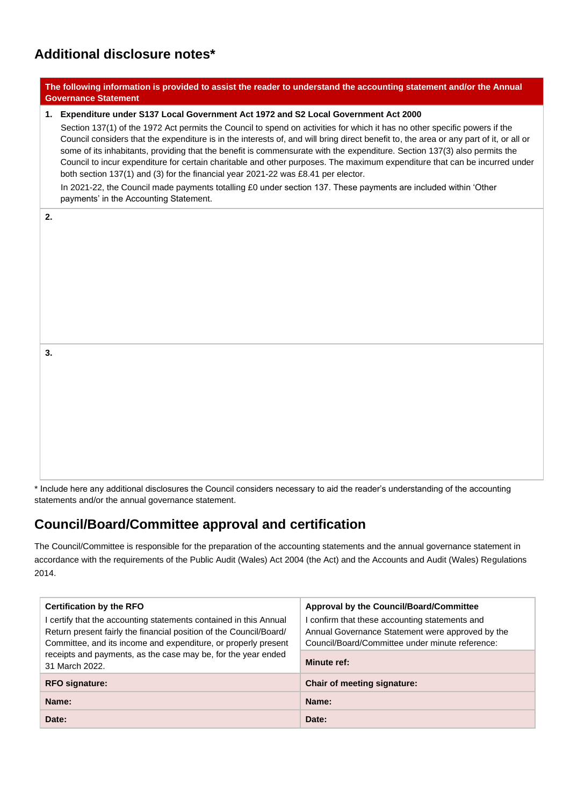# **Additional disclosure notes\***

|    | The following information is provided to assist the reader to understand the accounting statement and/or the Annual<br><b>Governance Statement</b>                                                                                                                                                                                                                                                                                                                                                                                                                                                                                                                                                                                                                                                                                                                        |
|----|---------------------------------------------------------------------------------------------------------------------------------------------------------------------------------------------------------------------------------------------------------------------------------------------------------------------------------------------------------------------------------------------------------------------------------------------------------------------------------------------------------------------------------------------------------------------------------------------------------------------------------------------------------------------------------------------------------------------------------------------------------------------------------------------------------------------------------------------------------------------------|
|    | 1. Expenditure under S137 Local Government Act 1972 and S2 Local Government Act 2000<br>Section 137(1) of the 1972 Act permits the Council to spend on activities for which it has no other specific powers if the<br>Council considers that the expenditure is in the interests of, and will bring direct benefit to, the area or any part of it, or all or<br>some of its inhabitants, providing that the benefit is commensurate with the expenditure. Section 137(3) also permits the<br>Council to incur expenditure for certain charitable and other purposes. The maximum expenditure that can be incurred under<br>both section 137(1) and (3) for the financial year 2021-22 was £8.41 per elector.<br>In 2021-22, the Council made payments totalling £0 under section 137. These payments are included within 'Other<br>payments' in the Accounting Statement. |
| 2. |                                                                                                                                                                                                                                                                                                                                                                                                                                                                                                                                                                                                                                                                                                                                                                                                                                                                           |
| 3. |                                                                                                                                                                                                                                                                                                                                                                                                                                                                                                                                                                                                                                                                                                                                                                                                                                                                           |

\* Include here any additional disclosures the Council considers necessary to aid the reader's understanding of the accounting statements and/or the annual governance statement.

### **Council/Board/Committee approval and certification**

The Council/Committee is responsible for the preparation of the accounting statements and the annual governance statement in accordance with the requirements of the Public Audit (Wales) Act 2004 (the Act) and the Accounts and Audit (Wales) Regulations 2014.

| <b>Certification by the RFO</b>                                                                                                                                                                         | <b>Approval by the Council/Board/Committee</b>                                                                                                        |  |  |  |  |
|---------------------------------------------------------------------------------------------------------------------------------------------------------------------------------------------------------|-------------------------------------------------------------------------------------------------------------------------------------------------------|--|--|--|--|
| certify that the accounting statements contained in this Annual<br>Return present fairly the financial position of the Council/Board/<br>Committee, and its income and expenditure, or properly present | I confirm that these accounting statements and<br>Annual Governance Statement were approved by the<br>Council/Board/Committee under minute reference: |  |  |  |  |
| receipts and payments, as the case may be, for the year ended<br>31 March 2022.                                                                                                                         | Minute ref:                                                                                                                                           |  |  |  |  |
| <b>RFO signature:</b>                                                                                                                                                                                   | Chair of meeting signature:                                                                                                                           |  |  |  |  |
| Name:                                                                                                                                                                                                   | Name:                                                                                                                                                 |  |  |  |  |
| Date:                                                                                                                                                                                                   | Date:                                                                                                                                                 |  |  |  |  |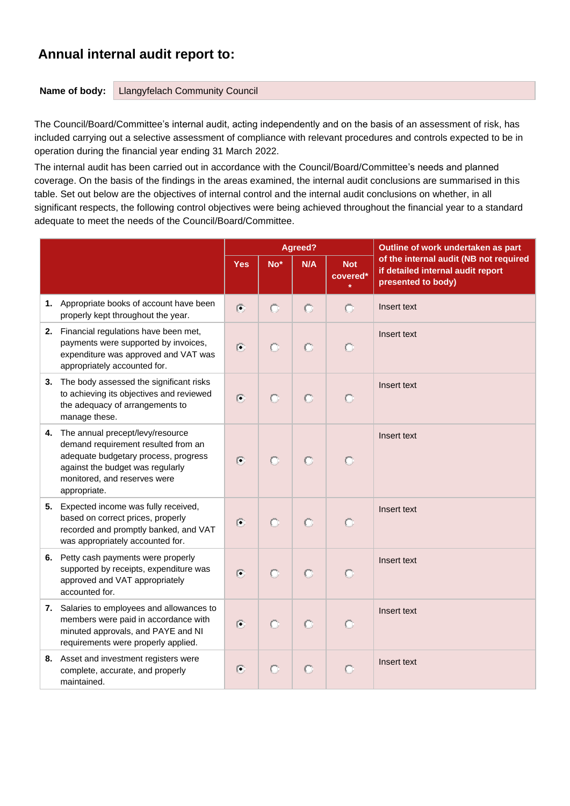## **Annual internal audit report to:**

**Name of body:** Llangyfelach Community Council

The Council/Board/Committee's internal audit, acting independently and on the basis of an assessment of risk, has included carrying out a selective assessment of compliance with relevant procedures and controls expected to be in operation during the financial year ending 31 March 2022.

The internal audit has been carried out in accordance with the Council/Board/Committee's needs and planned coverage. On the basis of the findings in the areas examined, the internal audit conclusions are summarised in this table. Set out below are the objectives of internal control and the internal audit conclusions on whether, in all significant respects, the following control objectives were being achieved throughout the financial year to a standard adequate to meet the needs of the Council/Board/Committee.

|                                                                                                                                                                                                        |                          |                 | <b>Agreed?</b> |                        | Outline of work undertaken as part                                                                |  |  |
|--------------------------------------------------------------------------------------------------------------------------------------------------------------------------------------------------------|--------------------------|-----------------|----------------|------------------------|---------------------------------------------------------------------------------------------------|--|--|
|                                                                                                                                                                                                        | <b>Yes</b>               | No <sup>*</sup> | N/A            | <b>Not</b><br>covered* | of the internal audit (NB not required<br>if detailed internal audit report<br>presented to body) |  |  |
| 1. Appropriate books of account have been<br>properly kept throughout the year.                                                                                                                        | $\odot$                  | Ō               | $\circ$        | $\circ$                | Insert text                                                                                       |  |  |
| 2. Financial regulations have been met,<br>payments were supported by invoices,<br>expenditure was approved and VAT was<br>appropriately accounted for.                                                | $\odot$                  | $\circ$         | O              | $\circ$                | Insert text                                                                                       |  |  |
| 3. The body assessed the significant risks<br>to achieving its objectives and reviewed<br>the adequacy of arrangements to<br>manage these.                                                             | $\left( \bullet \right)$ | $\circ$         | $\circ$        | O                      | Insert text                                                                                       |  |  |
| 4. The annual precept/levy/resource<br>demand requirement resulted from an<br>adequate budgetary process, progress<br>against the budget was regularly<br>monitored, and reserves were<br>appropriate. | $\left( \bullet \right)$ | $\circ$         | $\circ$        |                        | Insert text                                                                                       |  |  |
| 5. Expected income was fully received,<br>based on correct prices, properly<br>recorded and promptly banked, and VAT<br>was appropriately accounted for.                                               | $\left( 7\right)$        | $\bigcirc$      | $\circ$        | O                      | Insert text                                                                                       |  |  |
| 6. Petty cash payments were properly<br>supported by receipts, expenditure was<br>approved and VAT appropriately<br>accounted for.                                                                     | $\odot$                  | $\bullet$       | $\circ$        | $\circ$                | Insert text                                                                                       |  |  |
| 7. Salaries to employees and allowances to<br>members were paid in accordance with<br>minuted approvals, and PAYE and NI<br>requirements were properly applied.                                        | $\odot$                  | $\bullet$       | $\circ$        | O                      | Insert text                                                                                       |  |  |
| 8. Asset and investment registers were<br>complete, accurate, and properly<br>maintained.                                                                                                              | $\odot$                  | $\circ$         | $\circ$        |                        | Insert text                                                                                       |  |  |